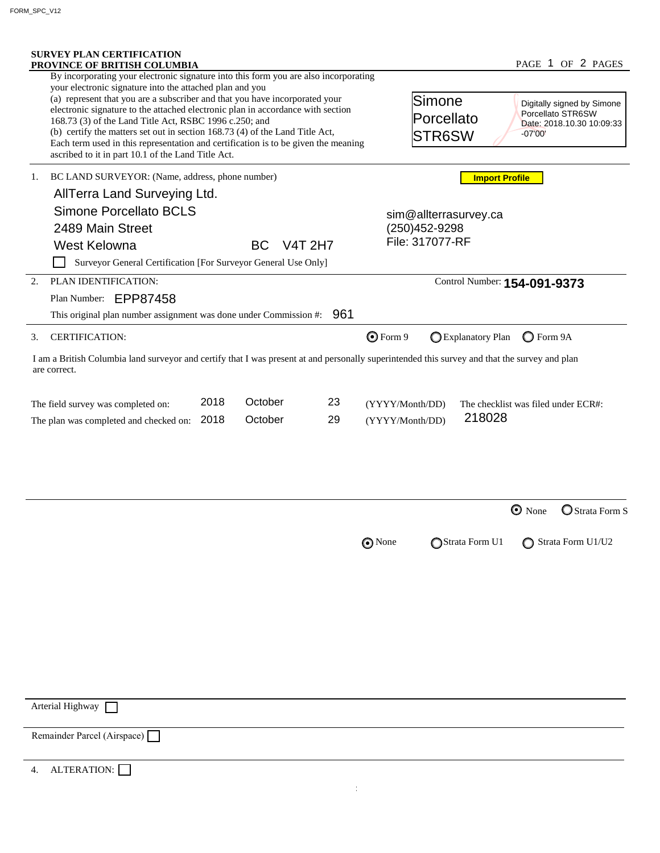|    | <b>SURVEY PLAN CERTIFICATION</b><br>PROVINCE OF BRITISH COLUMBIA                                                                                                                                                                                                                                                                                                                                                                                                                                                                                   |      |           |                |                                    |                                   |                       |                              | PAGE 1 OF 2 PAGES                                                            |
|----|----------------------------------------------------------------------------------------------------------------------------------------------------------------------------------------------------------------------------------------------------------------------------------------------------------------------------------------------------------------------------------------------------------------------------------------------------------------------------------------------------------------------------------------------------|------|-----------|----------------|------------------------------------|-----------------------------------|-----------------------|------------------------------|------------------------------------------------------------------------------|
|    | By incorporating your electronic signature into this form you are also incorporating<br>your electronic signature into the attached plan and you<br>(a) represent that you are a subscriber and that you have incorporated your<br>electronic signature to the attached electronic plan in accordance with section<br>168.73 (3) of the Land Title Act, RSBC 1996 c.250; and<br>(b) certify the matters set out in section 168.73 (4) of the Land Title Act,<br>Each term used in this representation and certification is to be given the meaning |      |           |                |                                    | lSimone<br>Porcellato<br>STR6SW   |                       | $-07'00'$                    | Digitally signed by Simone<br>Porcellato STR6SW<br>Date: 2018.10.30 10:09:33 |
| 1. | ascribed to it in part 10.1 of the Land Title Act.                                                                                                                                                                                                                                                                                                                                                                                                                                                                                                 |      |           |                |                                    |                                   |                       |                              |                                                                              |
|    | BC LAND SURVEYOR: (Name, address, phone number)                                                                                                                                                                                                                                                                                                                                                                                                                                                                                                    |      |           |                | <b>Import Profile</b>              |                                   |                       |                              |                                                                              |
|    | AllTerra Land Surveying Ltd.                                                                                                                                                                                                                                                                                                                                                                                                                                                                                                                       |      |           |                |                                    |                                   |                       |                              |                                                                              |
|    | <b>Simone Porcellato BCLS</b>                                                                                                                                                                                                                                                                                                                                                                                                                                                                                                                      |      |           |                |                                    |                                   | sim@allterrasurvey.ca |                              |                                                                              |
|    | 2489 Main Street                                                                                                                                                                                                                                                                                                                                                                                                                                                                                                                                   |      |           |                |                                    | (250) 452-9298<br>File: 317077-RF |                       |                              |                                                                              |
|    | West Kelowna                                                                                                                                                                                                                                                                                                                                                                                                                                                                                                                                       |      | <b>BC</b> | <b>V4T 2H7</b> |                                    |                                   |                       |                              |                                                                              |
|    | Surveyor General Certification [For Surveyor General Use Only]                                                                                                                                                                                                                                                                                                                                                                                                                                                                                     |      |           |                |                                    |                                   |                       |                              |                                                                              |
| 2. | PLAN IDENTIFICATION:                                                                                                                                                                                                                                                                                                                                                                                                                                                                                                                               |      |           |                |                                    |                                   |                       | Control Number: 154-091-9373 |                                                                              |
|    | Plan Number: EPP87458                                                                                                                                                                                                                                                                                                                                                                                                                                                                                                                              |      |           |                |                                    |                                   |                       |                              |                                                                              |
|    | This original plan number assignment was done under Commission #:                                                                                                                                                                                                                                                                                                                                                                                                                                                                                  |      |           | 961            |                                    |                                   |                       |                              |                                                                              |
| 3. | <b>CERTIFICATION:</b>                                                                                                                                                                                                                                                                                                                                                                                                                                                                                                                              |      |           |                | $Q$ Form 9                         |                                   | Explanatory Plan      | $\bigcirc$ Form 9A           |                                                                              |
|    |                                                                                                                                                                                                                                                                                                                                                                                                                                                                                                                                                    |      |           |                |                                    |                                   |                       |                              |                                                                              |
|    | I am a British Columbia land surveyor and certify that I was present at and personally superintended this survey and that the survey and plan<br>are correct.                                                                                                                                                                                                                                                                                                                                                                                      | 2018 | October   | 23             |                                    |                                   |                       |                              |                                                                              |
|    | The field survey was completed on:<br>The plan was completed and checked on:                                                                                                                                                                                                                                                                                                                                                                                                                                                                       | 2018 | October   | 29             | (YYYY/Month/DD)<br>(YYYY/Month/DD) |                                   | 218028                |                              | The checklist was filed under ECR#:                                          |
|    |                                                                                                                                                                                                                                                                                                                                                                                                                                                                                                                                                    |      |           |                |                                    |                                   |                       | $\odot$ None                 | Strata Form S                                                                |
|    |                                                                                                                                                                                                                                                                                                                                                                                                                                                                                                                                                    |      |           |                | O None                             |                                   | Strata Form U1        |                              | Strata Form U1/U2                                                            |